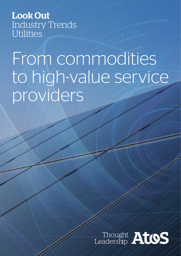Look Out Industry Trends **Utilities** 

# From commodities to high-value service providers

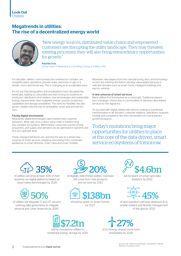

# Megatrends in utilities: The rise of a decentralized energy world



"New energy sources, distributed value chains and empowered customers are disrupting the utility landscape. They may threaten existing processes; they will also bring extraordinary opportunities for growth."

Paul Da Cruz Global Head of Marketing & Consulting, Energy & Utilities, Atos

For decades, utilities' core business has centered on complex, yet straightforward, operations: provide water, electricity or gas, in a simple, mono directional way. This is changing at an accelerated pace.

It's not just that deregulation and privatizations have disrupted the landscape, leading to unbundled and fast-moving ecosystems of producers, distributors and retailers; new technologies and sustainable energy requirements have multiplied energy sources, production capabilities and storage possibilities. The need for flexibility has also grown, notably with the rise of renewables, smart grid and electric cars.

#### Facing digital shockwaves

Meanwhile, digital technologies have transformed customer behaviors. What was once a direct value chain is transforming into complex ecosystems. Within these, consumers are becoming prosumers, and supply and demand can be optimized in real time and at a very granular level.

These changed behaviors are opening the way to a whole new universe of smart services, targeting everything from connected appliances to smart factories, smart cities and smart mobility.

Moreover, new players from the manufacturing, telco and technology sectors are entering the field to develop value-added services in selected domains such as smart home, intelligent buildings and electric vehicles.

#### A new universe of smart services

Many utilities find themselves at a crossroads. Traditional players face a strategic choice: stay in commodities or develop value-added services for the digital era.

To succeed with digital, utilities will need to undergo a substantial transformation in all domains: customer relations, operations, business models and compliance. But they will benefit from extraordinary growth prospects.

Today's mutations bring major opportunities for utilities to place at the core of the data-driven, smart service ecosystems of tomorrow.



of utilities will drive at least 30% of their business via digital platforms based on cloud native technologies by 2025



2

of utilities will integrate IT and OT security unifying data governance to mitigate physical and cyber breaches by 2026`



of digitally determined utilities' revenues will come from new products and services by 2022







will be invested by utilities in residential energy storage by 2025 27%

of EU energy should come from renewables by 2030



will be spent on smart grid data analytics by 2022



of grid operators will have deployed AI to enable resilient and flexible management of the grid by 2023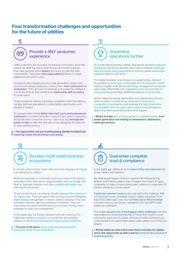## Four transformation challenges and opportunities for the future of utilities



#### Provide a 360° prosumer experience

Utility customers are no longer the passive commodity users they used to be. With the rise of smart homes and smart buildings, they have become active **players** who want to optimize their consumption. They have new usage patterns thanks to smart appliances and electric cars.

Growing locally installed wind and solar generation means they can become energy producers, moving them from 'consumers' to 'prosumers.' They are even increasingly surrounded by intelligent connected devices that handle their relationship with providers, to some extent.

These evolutions nurture a growing competition with new players, notably start-ups specialized in consumption optimization and appliance makers.

To succeed when facing better-informed, savvy and empowered customers, incumbent providers must provide a better experience along the entire consumer journey. They must also **leverage the** power of data to offer the best plan prices alongside the best mix of value-added services.

> The opportunity: not just avoiding being disintermediated but fostering loyalty and boosting cross-selling.



#### Develop multi-sided business ecosystems

E-vehicles, smart homes, smart cities and more: the pace of change is accelerating for utilities.

What has long been a commodity business is now on the brink of innovation. From start-ups to mega providers, such as Google with Nest or Tesla with batteries and solar, multiple new players are entering the landscape.

To survive and thrive, incumbents should reassess their position in the value chain. They can launch new services around renewables. smart energy management or electric vehicle charging. They may monetize customer data by providing it to partners. They can even move into advanced domains such as smart homes, smart buildings or smart city management.

In the digital age, the frontier between verticals is blurring. For traditional utilities to succeed, it is crucial they also build the capacity to attract and federate the largest range of partners.

> The prize of the game: move, scale and take the lead in tomorrow's data-driven ecosystems.

# **Streamline** operations further

As a scale-based business, utilities have always strived to *optimize* operations. Across the decades, they have constantly enhanced their processes and organization to improve quality and reduce cost and meter-to-cash times.

The digital revolution now brings in a supplementary demand for excellence. Smart grid, renewables and virtual power plants require complex multi-directional energy management across the value chain. Meanwhile, new regulations and requirements for energy saving are putting additional pressure on all activities.

All this makes the whole optimization and maintenance process more complex. To avoid being outpaced by tech-savvy competitors, incumbents must leverage the best of real-time orchestration and new-generation analytics technologies to detect and solve issues before they even happen.

> What's at stake: get one step ahead in competitiveness, from power generation and trading to transmission, distribution, retail and services.



∕∆

In the digital age, utilities are at the heart of the vital networks that power nations and business.

But what would happen if electric networks let manufacturing, defense and finance systems down? Imagine the impact of rogue companies or states compromising water systems in megacities? Of hackers attacking a nuclear plant?

Fraud and customer privacy risks only add to the challenge. With non-technical losses, worldwide fraud in utilities represents more than \$100 billion each year. And with fines up to 4% of revenue if a breach occurs, new privacy regulations such as GDPR create additional constraints.

This makes security one of the biggest utility challenges at a time when billions of connected Internet of Things (IoT) systems could now be the open door for attack. And when hostile hacktivists and cyber-squads from rogue states clearly make utilities one of their key targets

> All this makes security much more than a hot topic for utilities, and a vital opportunity as well: a way to turn trust into a source of business growth.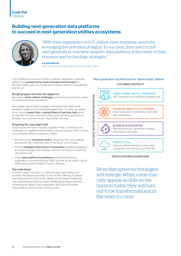

# Building next-generation data platforms to succeed in next-generation utilities ecosystems



"With their experience in IoT, utilities have immense assets for leveraging the potential of digital. To succeed, they need to put next-generation, real-time analytic data platform at the heart of their business and technology strategies."

Caroline Barret

Head of Energy & Utilities Marketing and Portfolio, Atos

From intelligent production plants to massive distribution networks, utilities have pioneered the most innovative technologies for decades, leading the way in high-performance network management and the IoT.

#### Bringing legacy tech into the digital era

But today's smart utilities challenges are having an enormous impact on these technology foundations.

New players are arriving, bringing in disruptive innovations and business models to try to disintermediate them. To catch up, utilities must not just exploit their constant flows of real-time data better to optimize their own operations; they must also leverage them to develop new customer-driven, value-added services.

#### Preparing for a paradigm shift

Preparing for the future requires a quantum leap. To embrace the challenges of a digital world and take a winning position within it, three core principles will be essential for utilities:

- Become wholly *prosumer-centric*, delivering 360° personalized services to their customers and, in the future, smart things.
- Provide intelligent data-driven orchestration, enabling adaptation to market changes and evolving customer demands in a real-time, prescriptive way.
- Adopt open platform foundations and real-time process automation to provide the best utility services at the lowest cost all while being ready to adapt or launch offerings.

#### The road ahead

To thrive, utilities will need to create the right partnerships and convene the largest ecosystem to enrich their offering, monetize their data and turn it into profit. Utilities should begin building the new supporting architecture today. Modernizing legacy and fully embracing the latest Cloud, automation, Big Data and mobile technologies is only the start of the journey.

#### Next-generation architecture for future-ready utilities CUSTOMER CENTRICITY



#### OPEN PLATFORM FOUNDATIONS

More disruptive technologies will emerge. While some may only appear as dots on the horizon today, they will turn out to be transformational in the years to come.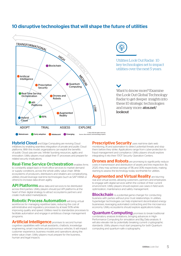## 10 disruptive technologies that will shape the future of utilities





Utilities Look Out Radar: 10 key technologies set to impact utilities over the next 5 years.

Want to know more? Examine the Look Out Global Technology Radar to get deeper insights into these 10 strategic technologies and many more: [atos.net/](http://atos.net/lookout) [lookout](http://atos.net/lookout)

**Hybrid Cloud** and Edge Computing are reviving Cloud initiatives by enabling seamless integration of private and public Cloud platforms. With this model, organizations can exploit the benefits of public Cloud: pay-per-use, 'infinite' bursting resources, agility and innovation. Utility players must adapt their IT processes and prepare for related security implications.

#### Real-Time Service Orchestration enables firms

to constantly adapt back or front office services to market demand or supply conditions, across the whole utility value chain. While ecosystems of producers, distributors and retailers are complexifying, utilities should leverage real-time technologies (such as SAP HANA or others) to increase data-driven agility.

API Platforms allow data and services to be distributed across third parties. Utility players should put API platforms at the heart of their digital strategy to attract ecosystems partners and create multi-sided marketplaces.

**Robotic Process Automation will bring virtual** workforces for managing repetitive tasks, reducing the cost of administrative and regulatory processes by at least 50% while improving quality and speed. Utilities need to standardize processes to facilitate automation and engage in ambitious change management programs.

Artificial Intelligence promises to second human cognitive capabilities with virtual assistants, chatbots, knowledge engineering, smart machines and autonomous vehicles. It will impact customer experience, business models and operations along the entire value chain. Utility players must prepare for the business, human and legal impacts.

Prescriptive Security uses real-time dark web monitoring, AI and automation to detect potential threats and stop them before they strike. Applications range from cyber-protection to fraud management and compliance. Utility players should explore integrating it into their IT/OT Security Operation Centers.

**Drones and Robots** are promising to significantly reduce costs in transmission and distribution of assets and line inspection. By 2020, they may achieve savings of 5% and 30% respectively, making starting to assess the technology today worthwhile for utilities.

#### **Augmented and Virtual Reality are blurring**

real and virtual worlds, allowing customers, partners and employees to engage with digital services within the context of their current environment. Utility players should explore use cases in field work optimization, maintenance and safety management.

**Blockchain** is a potential game-changer for conducting business with parties without prior trust relationships. In utilities, hyperledger technologies can help implement decentralized energy businesses, leveraging automated contracting and the microservice economy. Utility ecosystems should explore applications today.

**Quantum Computing** promises to break traditional combinatory analysis limitations, bringing advances in High-Performance Computing for simulation and Big Data analysis. It will also elevate risk by potentially breaking current cryptographic standards. Utility players must start preparing for both Quantum computing and quantum-safe cryptography.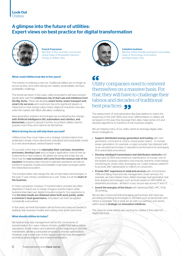# A glimpse into the future of utilities: Expert views on best practice for digital transformation



Franck Freycenon Member of Atos Scientific Community Global Head of Renewable Solutions Energy & Utilities, Atos



#### Celestino Guëmes

Member of Atos Scientific and Expert Communities Head of Technology & Innovation Worldgrid Spain, Atos

#### What could Utilities look like in five years?

The industry is entering a new era. Traditional utilities are no longer as secure as they once were having lost visibility, predictability and face profitability challenge.

The trends are blunt: in five years, utility ecosystems will have evolved significantly with the continuous rise of start-ups and initiatives from the Big Techs. These will develop smart home, smart transport and smart city services and could even become significant players or influencers in new energy value chains. Adjacent industries may also enter the market, with M&A ultimately multiplying.

New-generation analytics technologies are accelerating this change, with Artificial Intelligence (AI), automation and robotics, and blockchain, poised to disrupt it further. Incumbent utilities need to prepare now if they don't want to be left behind.

#### Which driving forces will help them succeed?

Utilities know they must make a very strategic transformation from yesterday's simple, mono-directional, centralized and predictable model to a new decentralized, network-based model.

To succeed, a first step is to rationalize their cost base, streamline processes, develop Lean and cut legacy application costs to free up investments in new systems. All utilities are doing this today. But we think that the real revolution will come from the revenue side of the equation: leveraging data not just to optimize operations but also to transform business models and establish multi-sided synergies within the networked ecosystem.

This transformation will change the role of information technologies. In the past, IT was merely considered as a cost. Today, it is at the heart of the business.

In many companies, however, IT transformation activities are often disjointed: IT teams are in charge of legacy transformation while business lines take over digital innovation projects. Our experience is that the best results are obtained when both work jointly, under a common C-level governance. Innovation can then be applied consistently everywhere.

In five years, we think the leaders will be those who have succeeded in building new business models and cutting costs at the same time.

#### What should utilities do today?

We believe that data management will be the cornerstone of transformation. For years, trillions of bytes of data have sat in utilities' operations. Smart meters and Industrial IoT are beginning to become mainstream, allowing substantial progress in process optimization. However, only a small part of this data is currently truly leveraged to provide business insights and enable monetization.

66 Utility companies need to reinvent themselves on a massive basis. For that, they will have to challenge their taboos and decades of traditional best practices.

The deployment of next-generation Big Data platforms marks the beginning of the shift. More and more, differentiation in utilities will be based on the way they leverage their data, make sense of it and develop algorithms to transform it into business insights.

We are helping many of our utility clients to leverage digital, datadriven strategies to:

- Support distributed energy generation and trading with next generation command & control, virtual power plants… In nuclear power generation, for example, a major provider has obtained with us an exceptional increase in operations performance by leveraging AI to automatize procedures.
- Develop intelligent transmission and distribution networks with smart grid, SCADA and predictive maintenance. In Europe, one of the largest European operators now ensures real-time, multi-energy monitoring for smart cities, leveraging our Codex analytics platform to provide 24x7 dashboards to millions of consumers.
- Provide 360° experience in retail and services with omnichannel CRM and billing, fraud and risk management, smart services. For example, we have helped many utilities leverage next-generation realtime analytics technologies, such as those based on SAP-HANA, to streamline processes – all that in a very secure way across IT and OT.
- Invent the energies of the future with advanced R&D, HPC, PLM, 3D printing…

We are also convinced that leveraging partnerships with start-ups providing promising technologies in domains such as blockchain and others is essential. This is what we do with our partners and clients, within several strategic co-innovation initiatives.

The years to come will be very exciting for utilities if they take the digital fast-track.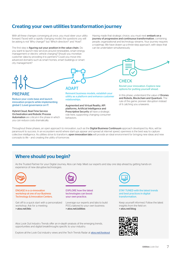# Creating your own utilities transformation journey

With all these changes converging at once, you must steer your utility forward. Faced with a rapidly changing model, the questions you will be asking is not 'Why change?' but 'Which direction?' and 'How?'.

The first step is figuring out your position in the value chain. Do you want to launch new services around renewables, smart energy management or electric vehicle charging? Should you monetize customer data by providing it to partners? Could you move into advanced domains such as smart homes, smart buildings or smart city management?

Having made that strategic choice, you must next embark on a journey of progressive and continuous transformation, combining people, organizational and technology streams. Your journey requires a roadmap. We have drawn up a three-step approach, with steps that can be undertaken simultaneously.



# **ADAPT**

Reinvent business models, establish your utility as a platform and enhance customer relationships.

Augmented and Virtual Reality, API platforms, Artificial Intelligence and Prescriptive Security all have a strategic role here, supporting changing consumer behaviors.

# CHECK

Revisit your innovation. Explore new options for putting yourself ahead.

In this phase, understand the value of **Drones** and Robots, Blockchain and Quantum. The rule of the game: pioneer disruption instead of it catching you unawares.

Throughout these phases, an open approach to innovation, such as the **Digital Business Continuum** approach developed by Atos, will be paramount to success. In an ecosystem world where start-ups appear and spread at internet speed, openness is the best way to capture collective intelligence. As utilities strive to transform, open innovation labs will provide an ideal environment for bringing new ideas and new concepts to life – and creating the utility of tomorrow.

# Where should you begin?

As the Trusted Partner for your Digital Journey, Atos can help. Meet our experts and stay one step ahead by getting hands-on experience of new disruptive technologies.



PREPARE

Reduce your costs base and launch innovation projects while implementing global C-Level governance on IT. Hybrid Cloud, Real-Time Service Orchestration and Robotic Process Automation are critical in the phase in which

you can reduce costs dramatically.

ENGAGE in a co-innovation workshop at one of our Business Technology & Innovation Centers.

Get off to a quick start with a personalized workshop. Ask for a meeting: > [atos.net/](http://atos.net/btic)btic



EXPLORE how the latest technologies can boost your own practice.

Leverage our experts and labs to build POCs tailored to your own business: > [atos.net/utilities](http://atos.net/utilities)

Atos Look Out Industry Trends offer an in-depth analysis of the emerging trends, opportunities and digital breakthroughs specific to your industry.

Explore all the Look Out industry views and the Tech Trends Radar at [atos.net/lookout](http://Explore all the Look Out industry views and the Tech Trends Radar at atos.net/lookout.
)



STAY TUNED with the latest trends and best practices in digital transformation.

Keep yourself informed. Follow the latest insights from the field on: > [atos.net/blog](http://atos.net/blog)